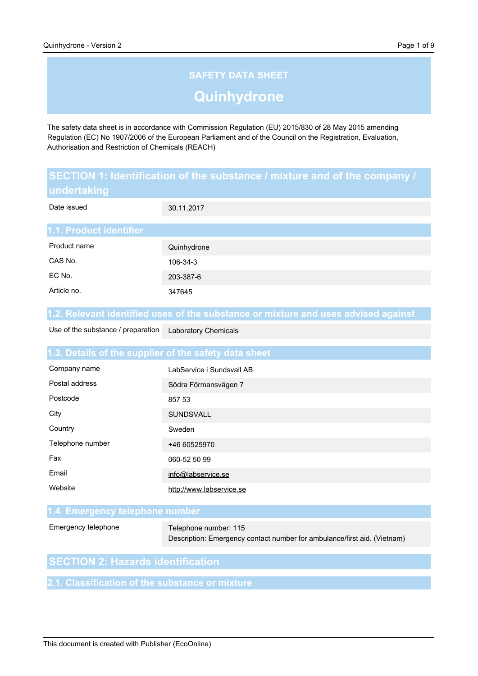# **SAFETY DATA SHEET Quinhydrone**

The safety data sheet is in accordance with Commission Regulation (EU) 2015/830 of 28 May 2015 amending Regulation (EC) No 1907/2006 of the European Parliament and of the Council on the Registration, Evaluation, Authorisation and Restriction of Chemicals (REACH)

| SECTION 1: Identification of the substance / mixture and of the company / |                                                                                    |  |
|---------------------------------------------------------------------------|------------------------------------------------------------------------------------|--|
| undertaking                                                               |                                                                                    |  |
| Date issued                                                               | 30.11.2017                                                                         |  |
|                                                                           |                                                                                    |  |
| 1.1. Product identifier                                                   |                                                                                    |  |
| Product name                                                              | Quinhydrone                                                                        |  |
| CAS No.                                                                   | 106-34-3                                                                           |  |
| EC No.                                                                    | 203-387-6                                                                          |  |
| Article no.                                                               | 347645                                                                             |  |
|                                                                           |                                                                                    |  |
|                                                                           | 1.2. Relevant identified uses of the substance or mixture and uses advised against |  |
| Use of the substance / preparation                                        | <b>Laboratory Chemicals</b>                                                        |  |
|                                                                           |                                                                                    |  |
| 1.3. Details of the supplier of the safety data sheet                     |                                                                                    |  |
| Company name                                                              | LabService i Sundsvall AB                                                          |  |

| Postal address   | Södra Förmansvägen 7     |
|------------------|--------------------------|
| Postcode         | 857 53                   |
| City             | <b>SUNDSVALL</b>         |
| Country          | Sweden                   |
| Telephone number | +46 60525970             |
| Fax              | 060-52 50 99             |
| Email            | info@labservice.se       |
| Website          | http://www.labservice.se |

#### **1.4. Emergency telephone number**

Emergency telephone

Telephone number: 115 Description: Emergency contact number for ambulance/first aid. (Vietnam)

## **SECTION 2: Hazards identification**

**2.1. Classification of the substance or mixture**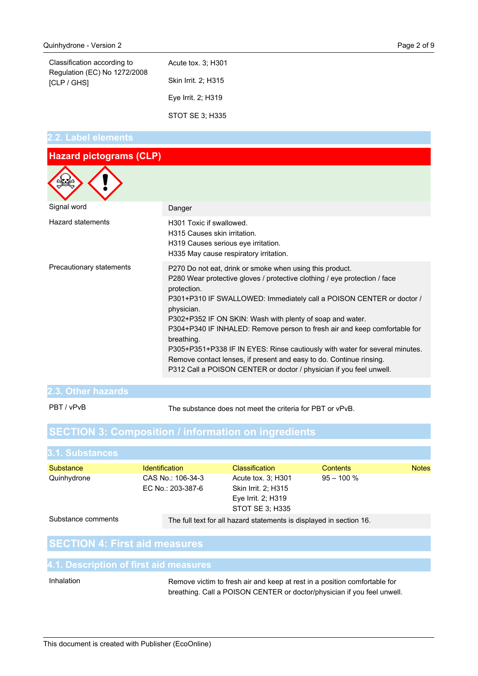| Classification according to<br>Regulation (EC) No 1272/2008<br><b>ICLP / GHSI</b> | Acute tox. 3: H301  |
|-----------------------------------------------------------------------------------|---------------------|
|                                                                                   | Skin Irrit. 2; H315 |
|                                                                                   | Eye Irrit. 2; H319  |

STOT SE 3; H335

#### **2.2. Label elements**

| <b>Hazard pictograms (CLP)</b> |                                                                                                                                                                                                                                                                                                                                                                                                                                                                                                                                                                                                                                 |
|--------------------------------|---------------------------------------------------------------------------------------------------------------------------------------------------------------------------------------------------------------------------------------------------------------------------------------------------------------------------------------------------------------------------------------------------------------------------------------------------------------------------------------------------------------------------------------------------------------------------------------------------------------------------------|
|                                |                                                                                                                                                                                                                                                                                                                                                                                                                                                                                                                                                                                                                                 |
| Signal word                    | Danger                                                                                                                                                                                                                                                                                                                                                                                                                                                                                                                                                                                                                          |
| Hazard statements              | H301 Toxic if swallowed.<br>H315 Causes skin irritation.<br>H319 Causes serious eye irritation.<br>H335 May cause respiratory irritation.                                                                                                                                                                                                                                                                                                                                                                                                                                                                                       |
| Precautionary statements       | P270 Do not eat, drink or smoke when using this product.<br>P280 Wear protective gloves / protective clothing / eye protection / face<br>protection.<br>P301+P310 IF SWALLOWED: Immediately call a POISON CENTER or doctor /<br>physician.<br>P302+P352 IF ON SKIN: Wash with plenty of soap and water.<br>P304+P340 IF INHALED: Remove person to fresh air and keep comfortable for<br>breathing.<br>P305+P351+P338 IF IN EYES: Rinse cautiously with water for several minutes.<br>Remove contact lenses, if present and easy to do. Continue rinsing.<br>P312 Call a POISON CENTER or doctor / physician if you feel unwell. |

#### **2.3. Other hazards**

PBT / vPvB

The substance does not meet the criteria for PBT or vPvB.

## **SECTION 3: Composition / information on ingredients**

| 3.1. Substances    |                                        |                                                                                    |               |              |
|--------------------|----------------------------------------|------------------------------------------------------------------------------------|---------------|--------------|
| Substance          | <b>Identification</b>                  | <b>Classification</b>                                                              | Contents      | <b>Notes</b> |
| Quinhydrone        | CAS No.: 106-34-3<br>EC No.: 203-387-6 | Acute tox. 3; H301<br>Skin Irrit. 2: H315<br>Eye Irrit. 2; H319<br>STOT SE 3; H335 | $95 - 100 \%$ |              |
| Substance comments |                                        | The full text for all hazard statements is displayed in section 16.                |               |              |

## **SECTION 4: First aid measures**

#### **4.1. Description of first aid measures**

#### Inhalation

Remove victim to fresh air and keep at rest in a position comfortable for breathing. Call a POISON CENTER or doctor/physician if you feel unwell.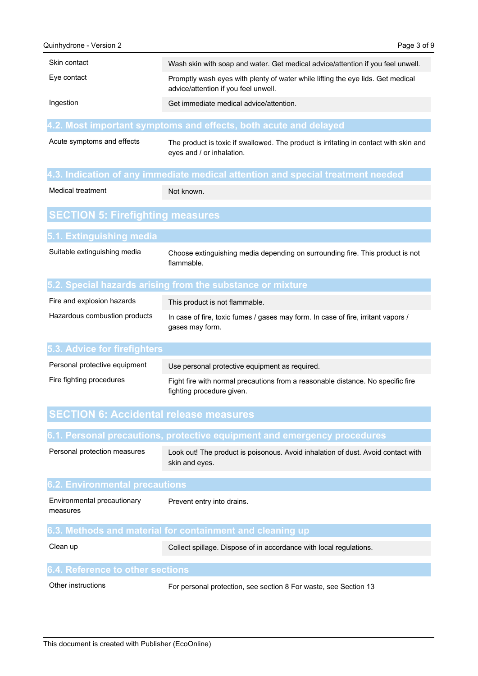| Skin contact                                  | Wash skin with soap and water. Get medical advice/attention if you feel unwell.                                    |
|-----------------------------------------------|--------------------------------------------------------------------------------------------------------------------|
| Eye contact                                   | Promptly wash eyes with plenty of water while lifting the eye lids. Get medical                                    |
|                                               | advice/attention if you feel unwell.                                                                               |
| Ingestion                                     | Get immediate medical advice/attention.                                                                            |
|                                               | 4.2. Most important symptoms and effects, both acute and delayed                                                   |
| Acute symptoms and effects                    | The product is toxic if swallowed. The product is irritating in contact with skin and<br>eyes and / or inhalation. |
|                                               | 4.3. Indication of any immediate medical attention and special treatment needed                                    |
| Medical treatment                             | Not known.                                                                                                         |
| <b>SECTION 5: Firefighting measures</b>       |                                                                                                                    |
| 5.1. Extinguishing media                      |                                                                                                                    |
| Suitable extinguishing media                  | Choose extinguishing media depending on surrounding fire. This product is not<br>flammable.                        |
|                                               | 5.2. Special hazards arising from the substance or mixture                                                         |
| Fire and explosion hazards                    | This product is not flammable.                                                                                     |
| Hazardous combustion products                 | In case of fire, toxic fumes / gases may form. In case of fire, irritant vapors /<br>gases may form.               |
| <b>5.3. Advice for firefighters</b>           |                                                                                                                    |
| Personal protective equipment                 | Use personal protective equipment as required.                                                                     |
| Fire fighting procedures                      | Fight fire with normal precautions from a reasonable distance. No specific fire<br>fighting procedure given.       |
| <b>SECTION 6: Accidental release measures</b> |                                                                                                                    |
|                                               | 6.1. Personal precautions, protective equipment and emergency procedures                                           |
| Personal protection measures                  | Look out! The product is poisonous. Avoid inhalation of dust. Avoid contact with<br>skin and eyes.                 |
| <b>6.2. Environmental precautions</b>         |                                                                                                                    |
| Environmental precautionary<br>measures       | Prevent entry into drains.                                                                                         |
|                                               | 6.3. Methods and material for containment and cleaning up                                                          |
| Clean up                                      | Collect spillage. Dispose of in accordance with local regulations.                                                 |

## **6.4. Reference to other sections**

Other instructions

For personal protection, see section 8 For waste, see Section 13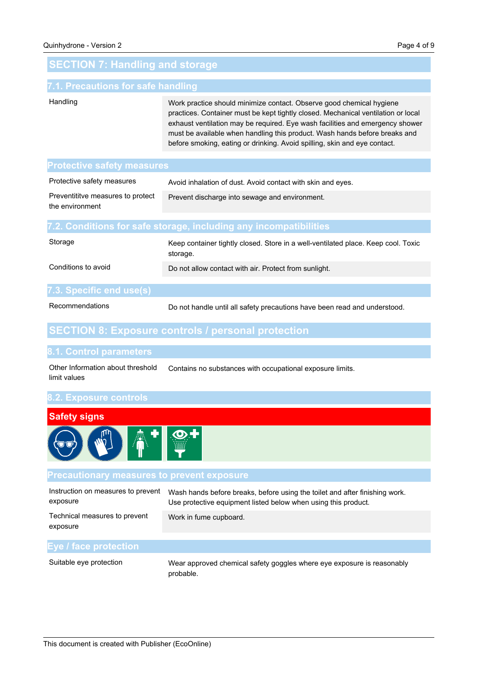## **SECTION 7: Handling and storage**

#### **7.1. Precautions for safe handling**

#### Handling

Work practice should minimize contact. Observe good chemical hygiene practices. Container must be kept tightly closed. Mechanical ventilation or local exhaust ventilation may be required. Eye wash facilities and emergency shower must be available when handling this product. Wash hands before breaks and before smoking, eating or drinking. Avoid spilling, skin and eye contact.

#### **Protective safety measures**

| Protective safety measures                           | Avoid inhalation of dust. Avoid contact with skin and eyes. |
|------------------------------------------------------|-------------------------------------------------------------|
| Preventititye measures to protect<br>the environment | Prevent discharge into sewage and environment.              |
|                                                      |                                                             |

#### **7.2. Conditions for safe storage, including any incompatibilities**

| Storage                  | Keep container tightly closed. Store in a well-ventilated place. Keep cool. Toxic<br>storage. |
|--------------------------|-----------------------------------------------------------------------------------------------|
| Conditions to avoid      | Do not allow contact with air. Protect from sunlight.                                         |
|                          |                                                                                               |
| 7.3. Specific end use(s) |                                                                                               |

#### Recommendations

Do not handle until all safety precautions have been read and understood.

## **SECTION 8: Exposure controls / personal protection**

#### **8.1. Control parameters**

Contains no substances with occupational exposure limits. Other Information about threshold limit values

#### **8.2. Exposure controls**



#### **Precautionary measures to prevent exposure**

| Instruction on measures to prevent<br>exposure | Wash hands before breaks, before using the toilet and after finishing work.<br>Use protective equipment listed below when using this product. |
|------------------------------------------------|-----------------------------------------------------------------------------------------------------------------------------------------------|
| Technical measures to prevent<br>exposure      | Work in fume cupboard.                                                                                                                        |
|                                                |                                                                                                                                               |
| Eye / face protection                          |                                                                                                                                               |
|                                                |                                                                                                                                               |

Suitable eye protection

Wear approved chemical safety goggles where eye exposure is reasonably probable.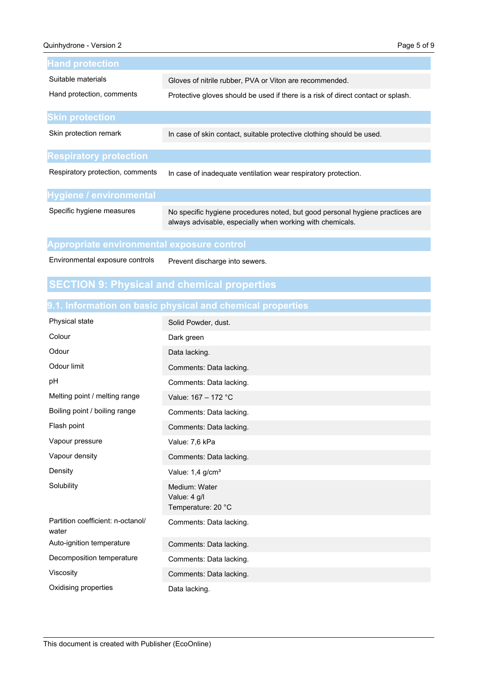| <b>Hand protection</b>           |                                                                                                                                            |
|----------------------------------|--------------------------------------------------------------------------------------------------------------------------------------------|
| Suitable materials               | Gloves of nitrile rubber, PVA or Viton are recommended.                                                                                    |
| Hand protection, comments        | Protective gloves should be used if there is a risk of direct contact or splash.                                                           |
| <b>Skin protection</b>           |                                                                                                                                            |
| Skin protection remark           | In case of skin contact, suitable protective clothing should be used.                                                                      |
| <b>Respiratory protection</b>    |                                                                                                                                            |
| Respiratory protection, comments | In case of inadequate ventilation wear respiratory protection.                                                                             |
| Hygiene / environmental          |                                                                                                                                            |
| Specific hygiene measures        | No specific hygiene procedures noted, but good personal hygiene practices are<br>always advisable, especially when working with chemicals. |
|                                  |                                                                                                                                            |

### **Appropriate environmental exposure control**

Environmental exposure controls

Prevent discharge into sewers.

## **SECTION 9: Physical and chemical properties**

## **9.1. Information on basic physical and chemical properties**

| Physical state                             | Solid Powder, dust.                                 |
|--------------------------------------------|-----------------------------------------------------|
| Colour                                     | Dark green                                          |
| Odour                                      | Data lacking.                                       |
| Odour limit                                | Comments: Data lacking.                             |
| pH                                         | Comments: Data lacking.                             |
| Melting point / melting range              | Value: 167 - 172 °C                                 |
| Boiling point / boiling range              | Comments: Data lacking.                             |
| Flash point                                | Comments: Data lacking.                             |
| Vapour pressure                            | Value: 7,6 kPa                                      |
| Vapour density                             | Comments: Data lacking.                             |
| Density                                    | Value: 1,4 g/cm <sup>3</sup>                        |
| Solubility                                 | Medium: Water<br>Value: 4 g/l<br>Temperature: 20 °C |
| Partition coefficient: n-octanol/<br>water | Comments: Data lacking.                             |
| Auto-ignition temperature                  | Comments: Data lacking.                             |
| Decomposition temperature                  | Comments: Data lacking.                             |
| Viscosity                                  | Comments: Data lacking.                             |
| Oxidising properties                       | Data lacking.                                       |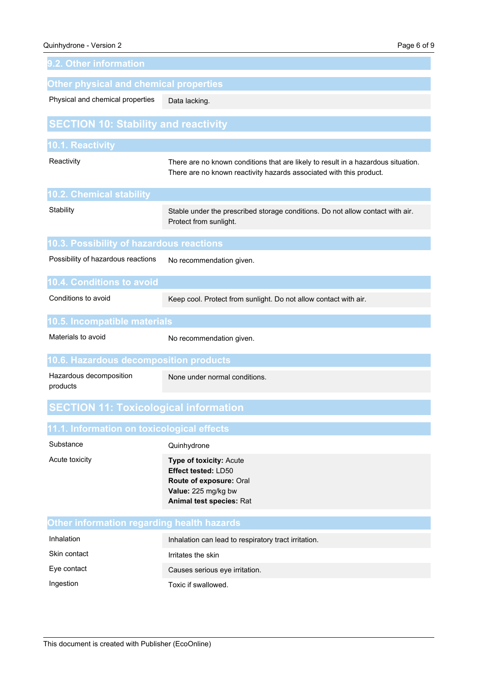| 9.2. Other information                        |                                                                                                                                                          |  |
|-----------------------------------------------|----------------------------------------------------------------------------------------------------------------------------------------------------------|--|
| <b>Other physical and chemical properties</b> |                                                                                                                                                          |  |
| Physical and chemical properties              | Data lacking.                                                                                                                                            |  |
| <b>SECTION 10: Stability and reactivity</b>   |                                                                                                                                                          |  |
| 10.1. Reactivity                              |                                                                                                                                                          |  |
| Reactivity                                    | There are no known conditions that are likely to result in a hazardous situation.<br>There are no known reactivity hazards associated with this product. |  |
| 10.2. Chemical stability                      |                                                                                                                                                          |  |
| Stability                                     | Stable under the prescribed storage conditions. Do not allow contact with air.<br>Protect from sunlight.                                                 |  |
| 10.3. Possibility of hazardous reactions      |                                                                                                                                                          |  |
| Possibility of hazardous reactions            | No recommendation given.                                                                                                                                 |  |
| <b>10.4. Conditions to avoid</b>              |                                                                                                                                                          |  |
| Conditions to avoid                           | Keep cool. Protect from sunlight. Do not allow contact with air.                                                                                         |  |
| 10.5. Incompatible materials                  |                                                                                                                                                          |  |
| Materials to avoid                            | No recommendation given.                                                                                                                                 |  |
| 10.6. Hazardous decomposition products        |                                                                                                                                                          |  |
| Hazardous decomposition<br>products           | None under normal conditions.                                                                                                                            |  |
| <b>SECTION 11: Toxicological information</b>  |                                                                                                                                                          |  |
| 11.1. Information on toxicological effects    |                                                                                                                                                          |  |
| Substance                                     | Quinhydrone                                                                                                                                              |  |
| Acute toxicity                                | <b>Type of toxicity: Acute</b><br>Effect tested: LD50<br>Route of exposure: Oral<br>Value: 225 mg/kg bw<br>Animal test species: Rat                      |  |
| Other information regarding health hazards    |                                                                                                                                                          |  |
| Inhalation                                    | Inhalation can lead to respiratory tract irritation.                                                                                                     |  |
| Skin contact                                  | Irritates the skin                                                                                                                                       |  |
| Eye contact                                   | Causes serious eye irritation.                                                                                                                           |  |
| Ingestion                                     | Toxic if swallowed.                                                                                                                                      |  |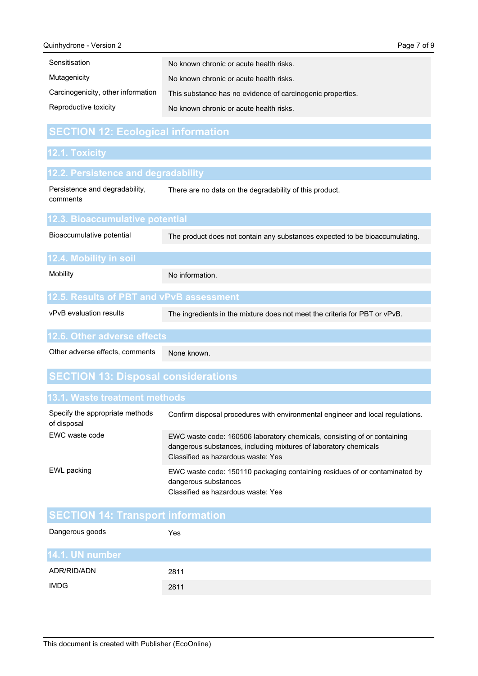| Quinhydrone - Version 2            |                                                            | Page 7 of 9 |
|------------------------------------|------------------------------------------------------------|-------------|
| Sensitisation                      | No known chronic or acute health risks.                    |             |
| Mutagenicity                       | No known chronic or acute health risks.                    |             |
| Carcinogenicity, other information | This substance has no evidence of carcinogenic properties. |             |
| Reproductive toxicity              | No known chronic or acute health risks.                    |             |

## **SECTION 12: Ecological information**

## **12.1. Toxicity**

| 12.2. Persistence and degradability        |                                                                             |
|--------------------------------------------|-----------------------------------------------------------------------------|
| Persistence and degradability,<br>comments | There are no data on the degradability of this product.                     |
| 12.3. Bioaccumulative potential            |                                                                             |
| Bioaccumulative potential                  | The product does not contain any substances expected to be bioaccumulating. |
| 12.4. Mobility in soil                     |                                                                             |
| Mobility                                   | No information.                                                             |
| 12.5. Results of PBT and vPvB assessment   |                                                                             |
|                                            |                                                                             |

vPvB evaluation results

The ingredients in the mixture does not meet the criteria for PBT or vPvB.

#### **12.6. Other adverse effects**

None known. Other adverse effects, comments

## **SECTION 13: Disposal considerations**

| Specify the appropriate methods<br>of disposal | Confirm disposal procedures with environmental engineer and local requiations.                                                                                                     |
|------------------------------------------------|------------------------------------------------------------------------------------------------------------------------------------------------------------------------------------|
| EWC waste code                                 | EWC waste code: 160506 laboratory chemicals, consisting of or containing<br>dangerous substances, including mixtures of laboratory chemicals<br>Classified as hazardous waste: Yes |
| EWL packing                                    | EWC waste code: 150110 packaging containing residues of or contaminated by<br>dangerous substances<br>Classified as hazardous waste: Yes                                           |

## **SECTION 14: Transport information**

| Dangerous goods | Yes  |
|-----------------|------|
| 14.1. UN number |      |
| ADR/RID/ADN     | 2811 |
| <b>IMDG</b>     | 2811 |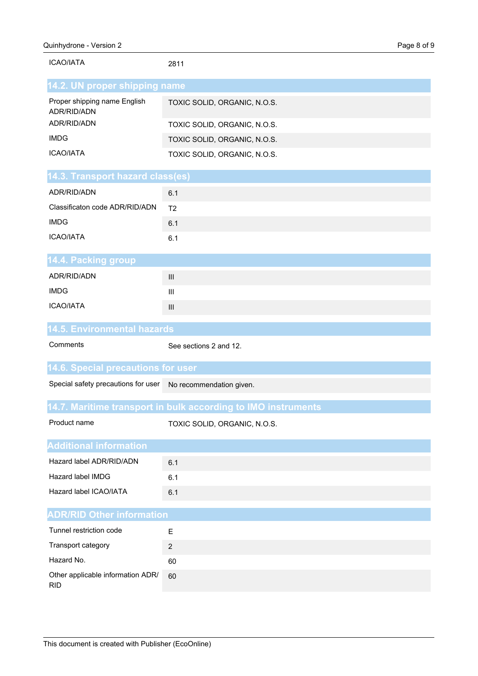| <b>ICAO/IATA</b>                                             | 2811                                                          |
|--------------------------------------------------------------|---------------------------------------------------------------|
| 14.2. UN proper shipping name                                |                                                               |
| Proper shipping name English<br>ADR/RID/ADN                  | TOXIC SOLID, ORGANIC, N.O.S.                                  |
| ADR/RID/ADN                                                  | TOXIC SOLID, ORGANIC, N.O.S.                                  |
| <b>IMDG</b>                                                  | TOXIC SOLID, ORGANIC, N.O.S.                                  |
| <b>ICAO/IATA</b>                                             | TOXIC SOLID, ORGANIC, N.O.S.                                  |
| 14.3. Transport hazard class(es)                             |                                                               |
| ADR/RID/ADN                                                  | 6.1                                                           |
| Classificaton code ADR/RID/ADN                               | T <sub>2</sub>                                                |
| <b>IMDG</b>                                                  | 6.1                                                           |
| <b>ICAO/IATA</b>                                             | 6.1                                                           |
| 14.4. Packing group                                          |                                                               |
| ADR/RID/ADN                                                  | $\mathbf{III}$                                                |
| <b>IMDG</b>                                                  | Ш                                                             |
| <b>ICAO/IATA</b>                                             | Ш                                                             |
|                                                              |                                                               |
| <b>14.5. Environmental hazards</b>                           |                                                               |
| Comments                                                     | See sections 2 and 12.                                        |
| <b>14.6. Special precautions for user</b>                    |                                                               |
| Special safety precautions for user No recommendation given. |                                                               |
|                                                              | 14.7. Maritime transport in bulk according to IMO instruments |
| Product name                                                 | TOXIC SOLID, ORGANIC, N.O.S.                                  |
| <b>Additional information</b>                                |                                                               |
| Hazard label ADR/RID/ADN                                     | 6.1                                                           |
| Hazard label IMDG                                            | 6.1                                                           |
| Hazard label ICAO/IATA                                       | 6.1                                                           |
| <b>ADR/RID Other information</b>                             |                                                               |
| Tunnel restriction code                                      | Ε                                                             |
| Transport category                                           | $\boldsymbol{2}$                                              |
| Hazard No.                                                   | 60                                                            |

RID